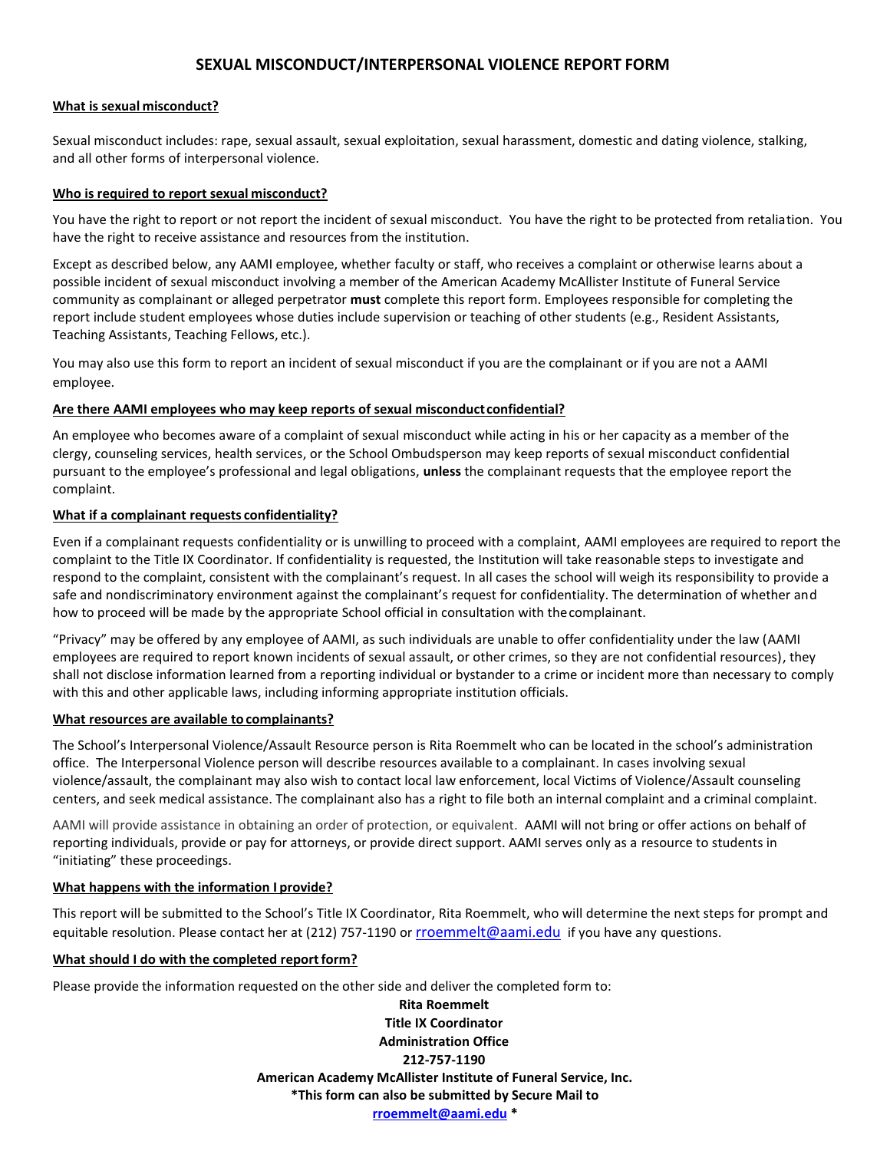# **SEXUAL MISCONDUCT/INTERPERSONAL VIOLENCE REPORT FORM**

## **What is sexual misconduct?**

Sexual misconduct includes: rape, sexual assault, sexual exploitation, sexual harassment, domestic and dating violence, stalking, and all other forms of interpersonal violence.

#### **Who is required to report sexual misconduct?**

You have the right to report or not report the incident of sexual misconduct. You have the right to be protected from retaliation. You have the right to receive assistance and resources from the institution.

Except as described below, any AAMI employee, whether faculty or staff, who receives a complaint or otherwise learns about a possible incident of sexual misconduct involving a member of the American Academy McAllister Institute of Funeral Service community as complainant or alleged perpetrator **must** complete this report form. Employees responsible for completing the report include student employees whose duties include supervision or teaching of other students (e.g., Resident Assistants, Teaching Assistants, Teaching Fellows, etc.).

You may also use this form to report an incident of sexual misconduct if you are the complainant or if you are not a AAMI employee.

## **Are there AAMI employees who may keep reports of sexual misconduct confidential?**

An employee who becomes aware of a complaint of sexual misconduct while acting in his or her capacity as a member of the clergy, counseling services, health services, or the School Ombudsperson may keep reports of sexual misconduct confidential pursuant to the employee's professional and legal obligations, **unless** the complainant requests that the employee report the complaint.

## **What if a complainant requests confidentiality?**

Even if a complainant requests confidentiality or is unwilling to proceed with a complaint, AAMI employees are required to report the complaint to the Title IX Coordinator. If confidentiality is requested, the Institution will take reasonable steps to investigate and respond to the complaint, consistent with the complainant's request. In all cases the school will weigh its responsibility to provide a safe and nondiscriminatory environment against the complainant's request for confidentiality. The determination of whether and how to proceed will be made by the appropriate School official in consultation with thecomplainant.

"Privacy" may be offered by any employee of AAMI, as such individuals are unable to offer confidentiality under the law (AAMI employees are required to report known incidents of sexual assault, or other crimes, so they are not confidential resources), they shall not disclose information learned from a reporting individual or bystander to a crime or incident more than necessary to comply with this and other applicable laws, including informing appropriate institution officials.

#### **What resources are available to complainants?**

The School's Interpersonal Violence/Assault Resource person is Rita Roemmelt who can be located in the school's administration office. The Interpersonal Violence person will describe resources available to a complainant. In cases involving sexual violence/assault, the complainant may also wish to contact local law enforcement, local Victims of Violence/Assault counseling centers, and seek medical assistance. The complainant also has a right to file both an internal complaint and a criminal complaint.

AAMI will provide assistance in obtaining an order of protection, or equivalent. AAMI will not bring or offer actions on behalf of reporting individuals, provide or pay for attorneys, or provide direct support. AAMI serves only as a resource to students in "initiating" these proceedings.

# **What happens with the information I provide?**

This report will be submitted to the School's Title IX Coordinator, Rita Roemmelt, who will determine the next steps for prompt and equitable resolution. Please contact her at (212) 757-1190 or [rroemmelt@aami.edu](mailto:rroemmelt@aami.edu) if you have any questions.

#### **What should I do with the completed report form?**

Please provide the information requested on the other side and deliver the completed form to:

**Rita Roemmelt Title IX Coordinator Administration Office 212-757-1190 American Academy McAllister Institute of Funeral Service, Inc. \*This form can also be submitted by Secure Mail to [rroemmelt@aami.edu](mailto:rroemmelt@aami.edu) \***